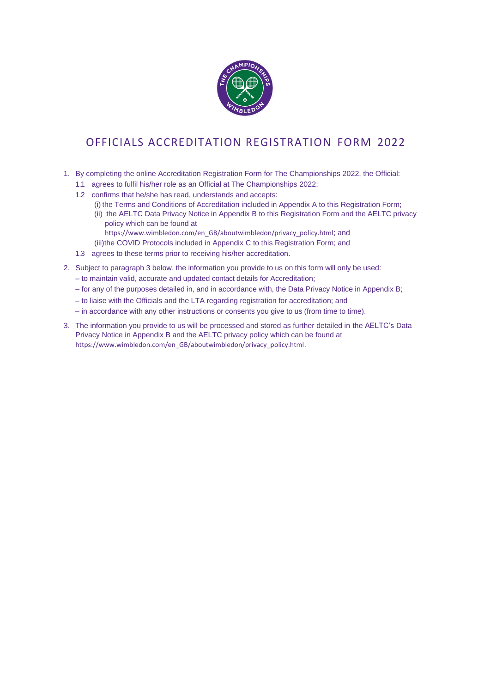

# OFFICIALS ACCREDITATION REGISTRATION FORM 2022

- 1. By completing the online Accreditation Registration Form for The Championships 2022, the Official:
	- 1.1 agrees to fulfil his/her role as an Official at The Championships 2022;
	- 1.2 confirms that he/she has read, understands and accepts:
		- (i) the Terms and Conditions of Accreditation included in Appendix A to this Registration Form;
		- (ii) the AELTC Data Privacy Notice in Appendix B to this Registration Form and the AELTC privacy policy which can be found at
			- https:/[/www.wimbledon.com/en\\_GB/aboutwimbledon/privacy\\_policy.html](http://www.wimbledon.com/en_GB/aboutwimbledon/privacy_policy.html%3B)[;](http://www.wimbledon.com/en_GB/aboutwimbledon/privacy_policy.html%3B) and
		- (iii)the COVID Protocols included in Appendix C to this Registration Form; and
	- 1.3 agrees to these terms prior to receiving his/her accreditation.
- 2. Subject to paragraph 3 below, the information you provide to us on this form will only be used:
	- to maintain valid, accurate and updated contact details for Accreditation;
	- for any of the purposes detailed in, and in accordance with, the Data Privacy Notice in Appendix B;
	- to liaise with the Officials and the LTA regarding registration for accreditation; and
	- in accordance with any other instructions or consents you give to us (from time to time).
- 3. The information you provide to us will be processed and stored as further detailed in the AELTC's Data Privacy Notice in Appendix B and the AELTC privacy policy which can be found at https:/[/www.wimbledon.com/en\\_GB/aboutwimbledon/privacy\\_policy.html](http://www.wimbledon.com/en_GB/aboutwimbledon/privacy_policy.html)[.](http://www.wimbledon.com/en_GB/aboutwimbledon/privacy_policy.html)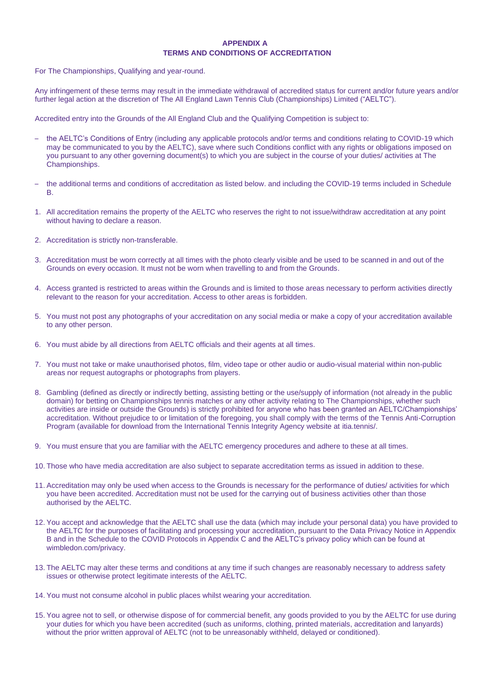## **APPENDIX A TERMS AND CONDITIONS OF ACCREDITATION**

For The Championships, Qualifying and year-round.

Any infringement of these terms may result in the immediate withdrawal of accredited status for current and/or future years and/or further legal action at the discretion of The All England Lawn Tennis Club (Championships) Limited ("AELTC").

Accredited entry into the Grounds of the All England Club and the Qualifying Competition is subject to:

- the AELTC's Conditions of Entry (including any applicable protocols and/or terms and conditions relating to COVID-19 which may be communicated to you by the AELTC), save where such Conditions conflict with any rights or obligations imposed on you pursuant to any other governing document(s) to which you are subject in the course of your duties/ activities at The Championships.
- the additional terms and conditions of accreditation as listed below. and including the COVID-19 terms included in Schedule B.
- 1. All accreditation remains the property of the AELTC who reserves the right to not issue/withdraw accreditation at any point without having to declare a reason.
- 2. Accreditation is strictly non-transferable.
- 3. Accreditation must be worn correctly at all times with the photo clearly visible and be used to be scanned in and out of the Grounds on every occasion. It must not be worn when travelling to and from the Grounds.
- 4. Access granted is restricted to areas within the Grounds and is limited to those areas necessary to perform activities directly relevant to the reason for your accreditation. Access to other areas is forbidden.
- 5. You must not post any photographs of your accreditation on any social media or make a copy of your accreditation available to any other person.
- 6. You must abide by all directions from AELTC officials and their agents at all times.
- 7. You must not take or make unauthorised photos, film, video tape or other audio or audio-visual material within non-public areas nor request autographs or photographs from players.
- 8. Gambling (defined as directly or indirectly betting, assisting betting or the use/supply of information (not already in the public domain) for betting on Championships tennis matches or any other activity relating to The Championships, whether such activities are inside or outside the Grounds) is strictly prohibited for anyone who has been granted an AELTC/Championships' accreditation. Without prejudice to or limitation of the foregoing, you shall comply with the terms of the Tennis Anti-Corruption Program (available for download from the International Tennis Integrity Agency website at [itia.tennis/.](https://itia.tennis/)
- 9. You must ensure that you are familiar with the AELTC emergency procedures and adhere to these at all times.
- 10. Those who have media accreditation are also subject to separate accreditation terms as issued in addition to these.
- 11. Accreditation may only be used when access to the Grounds is necessary for the performance of duties/ activities for which you have been accredited. Accreditation must not be used for the carrying out of business activities other than those authorised by the AELTC.
- 12. You accept and acknowledge that the AELTC shall use the data (which may include your personal data) you have provided to the AELTC for the purposes of facilitating and processing your accreditation, pursuant to the Data Privacy Notice in Appendix B and in the Schedule to the COVID Protocols in Appendix C and the AELTC's privacy policy which can be found at [wimbledon.com/privacy.](https://www.wimbledon.com/en_GB/aboutwimbledon/privacy.html)
- 13. The AELTC may alter these terms and conditions at any time if such changes are reasonably necessary to address safety issues or otherwise protect legitimate interests of the AELTC.
- 14. You must not consume alcohol in public places whilst wearing your accreditation.
- 15. You agree not to sell, or otherwise dispose of for commercial benefit, any goods provided to you by the AELTC for use during your duties for which you have been accredited (such as uniforms, clothing, printed materials, accreditation and lanyards) without the prior written approval of AELTC (not to be unreasonably withheld, delayed or conditioned).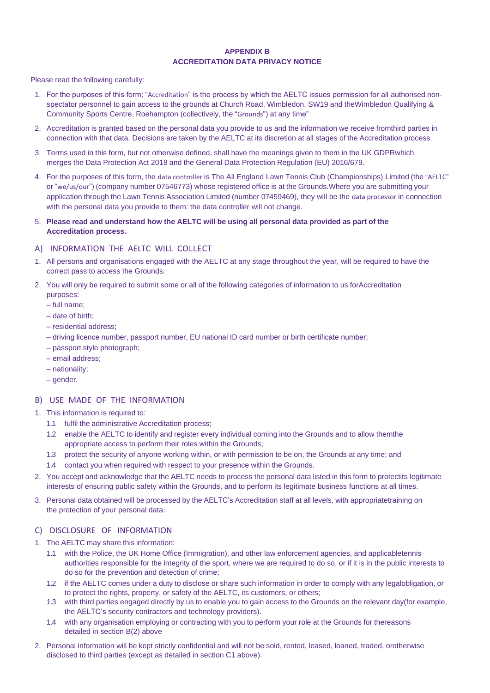#### **APPENDIX B ACCREDITATION DATA PRIVACY NOTICE**

Please read the following carefully:

- 1. For the purposes of this form; "Accreditation" is the process by which the AELTC issues permission for all authorised nonspectator personnel to gain access to the grounds at Church Road, Wimbledon, SW19 and theWimbledon Qualifying & Community Sports Centre, Roehampton (collectively, the "Grounds") at any time"
- 2. Accreditation is granted based on the personal data you provide to us and the information we receive fromthird parties in connection with that data. Decisions are taken by the AELTC at its discretion at all stages of the Accreditation process.
- 3. Terms used in this form, but not otherwise defined, shall have the meanings given to them in the UK GDPRwhich merges the Data Protection Act 2018 and the General Data Protection Regulation (EU) 2016/679.
- 4. For the purposes of this form, the data controller is The All England Lawn Tennis Club (Championships) Limited (the "AELTC" or "we/us/our") (company number 07546773) whose registered office is at the Grounds.Where you are submitting your application through the Lawn Tennis Association Limited (number 07459469), they will be the data processor in connection with the personal data you provide to them: the data controller will not change.
- 5. **Please read and understand how the AELTC will be using all personal data provided as part of the Accreditation process.**

# A) INFORMATION THE AELTC WILL COLLECT

- 1. All persons and organisations engaged with the AELTC at any stage throughout the year, will be required to have the correct pass to access the Grounds.
- 2. You will only be required to submit some or all of the following categories of information to us forAccreditation purposes:
	- full name;
	- date of birth;
	- residential address;
	- driving licence number, passport number, EU national ID card number or birth certificate number;
	- passport style photograph;
	- email address;
	- nationality;
	- gender.

## B) USE MADE OF THE INFORMATION

- 1. This information is required to:
	- 1.1 fulfil the administrative Accreditation process;
	- 1.2 enable the AELTC to identify and register every individual coming into the Grounds and to allow themthe appropriate access to perform their roles within the Grounds;
	- 1.3 protect the security of anyone working within, or with permission to be on, the Grounds at any time; and
	- 1.4 contact you when required with respect to your presence within the Grounds.
- 2. You accept and acknowledge that the AELTC needs to process the personal data listed in this form to protectits legitimate interests of ensuring public safety within the Grounds, and to perform its legitimate business functions at all times.
- 3. Personal data obtained will be processed by the AELTC's Accreditation staff at all levels, with appropriatetraining on the protection of your personal data.

### C) DISCLOSURE OF INFORMATION

- 1. The AELTC may share this information:
	- 1.1 with the Police, the UK Home Office (Immigration), and other law enforcement agencies, and applicabletennis authorities responsible for the integrity of the sport, where we are required to do so, or if it is in the public interests to do so for the prevention and detection of crime;
	- 1.2 if the AELTC comes under a duty to disclose or share such information in order to comply with any legalobligation, or to protect the rights, property, or safety of the AELTC, its customers, or others;
	- 1.3 with third parties engaged directly by us to enable you to gain access to the Grounds on the relevant day(for example, the AELTC's security contractors and technology providers).
	- 1.4 with any organisation employing or contracting with you to perform your role at the Grounds for thereasons detailed in section B(2) above
- 2. Personal information will be kept strictly confidential and will not be sold, rented, leased, loaned, traded, orotherwise disclosed to third parties (except as detailed in section C1 above).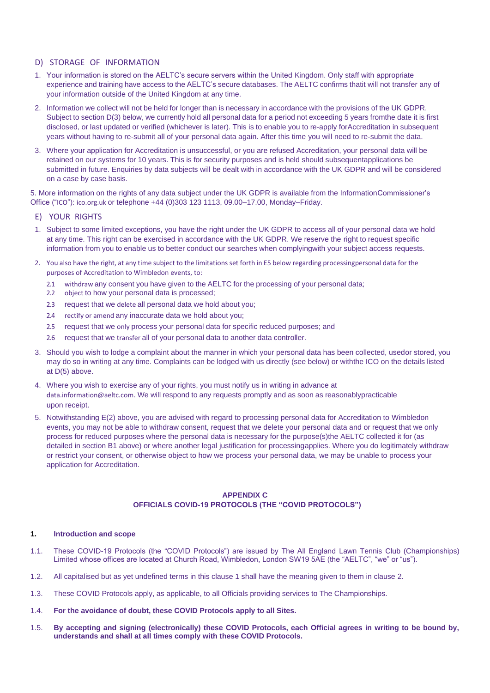## D) STORAGE OF INFORMATION

- 1. Your information is stored on the AELTC's secure servers within the United Kingdom. Only staff with appropriate experience and training have access to the AELTC's secure databases. The AELTC confirms thatit will not transfer any of your information outside of the United Kingdom at any time.
- 2. Information we collect will not be held for longer than is necessary in accordance with the provisions of the UK GDPR. Subject to section D(3) below, we currently hold all personal data for a period not exceeding 5 years fromthe date it is first disclosed, or last updated or verified (whichever is later). This is to enable you to re-apply forAccreditation in subsequent years without having to re-submit all of your personal data again. After this time you will need to re-submit the data.
- 3. Where your application for Accreditation is unsuccessful, or you are refused Accreditation, your personal data will be retained on our systems for 10 years. This is for security purposes and is held should subsequentapplications be submitted in future. Enquiries by data subjects will be dealt with in accordance with the UK GDPR and will be considered on a case by case basis.

5. More information on the rights of any data subject under the UK GDPR is available from the InformationCommissioner's Office ("ICO"): [ico.org.uk](https://ico.org.uk/) or telephone +44 (0)303 123 1113, 09.00–17.00, Monday–Friday.

## E) YOUR RIGHTS

- 1. Subject to some limited exceptions, you have the right under the UK GDPR to access all of your personal data we hold at any time. This right can be exercised in accordance with the UK GDPR. We reserve the right to request specific information from you to enable us to better conduct our searches when complyingwith your subject access requests.
- 2. You also have the right, at any time subject to the limitations set forth in E5 below regarding processingpersonal data for the purposes of Accreditation to Wimbledon events, to:
	- 2.1 withdraw any consent you have given to the AELTC for the processing of your personal data;
	- 2.2 object to how your personal data is processed;
	- 2.3 request that we delete all personal data we hold about you;
	- 2.4 rectify or amend any inaccurate data we hold about you;
	- 2.5 request that we only process your personal data for specific reduced purposes; and
	- 2.6 request that we transfer all of your personal data to another data controller.
- 3. Should you wish to lodge a complaint about the manner in which your personal data has been collected, usedor stored, you may do so in writing at any time. Complaints can be lodged with us directly (see below) or withthe ICO on the details listed at D(5) above.
- 4. Where you wish to exercise any of your rights, you must notify us in writing in advance at [data.information@aeltc.com](mailto:data.information@aeltc.com)[.](mailto:data.information@aeltc.com) We will respond to any requests promptly and as soon as reasonablypracticable upon receipt.
- 5. Notwithstanding E(2) above, you are advised with regard to processing personal data for Accreditation to Wimbledon events, you may not be able to withdraw consent, request that we delete your personal data and or request that we only process for reduced purposes where the personal data is necessary for the purpose(s)the AELTC collected it for (as detailed in section B1 above) or where another legal justification for processingapplies. Where you do legitimately withdraw or restrict your consent, or otherwise object to how we process your personal data, we may be unable to process your application for Accreditation.

### **APPENDIX C OFFICIALS COVID-19 PROTOCOLS (THE "COVID PROTOCOLS")**

#### <span id="page-3-0"></span>**1. Introduction and scope**

- 1.1. These COVID-19 Protocols (the "COVID Protocols") are issued by The All England Lawn Tennis Club (Championships) Limited whose offices are located at Church Road, Wimbledon, London SW19 5AE (the "AELTC", "we" or "us").
- 1.2. All capitalised but as yet undefined terms in this clause [1](#page-3-0) shall have the meaning given to them in clause [2.](#page-4-0)
- 1.3. These COVID Protocols apply, as applicable, to all Officials providing services to The Championships.
- 1.4. **For the avoidance of doubt, these COVID Protocols apply to all Sites.**
- 1.5. **By accepting and signing (electronically) these COVID Protocols, each Official agrees in writing to be bound by, understands and shall at all times comply with these COVID Protocols.**